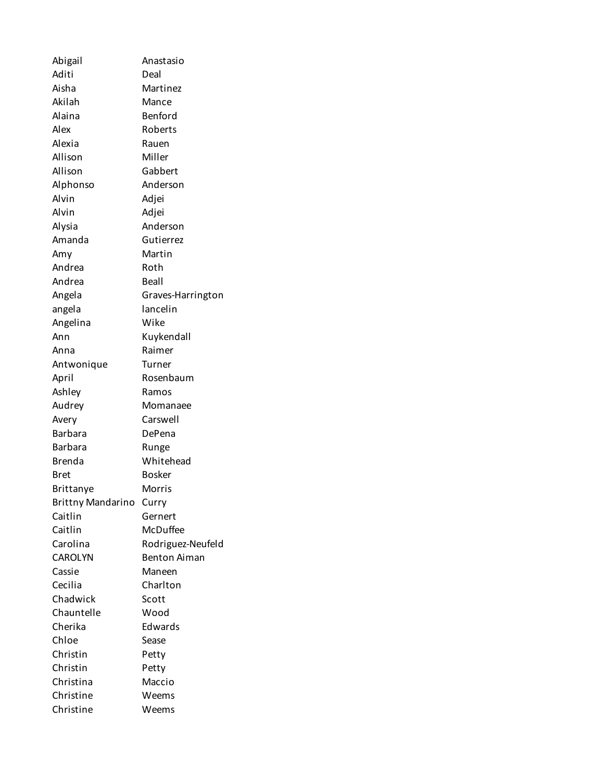Abigail Anastasio Aditi Deal Aisha Martinez Akilah Mance Alaina Benford Alex Roberts Alexia Rauen Allison Miller Allison Gabbert Alphonso Anderson Alvin Adjei Alvin Adjei Alysia Anderson Amanda Gutierrez Amy Martin Andrea Roth Andrea Beall Angela Graves-Harrington angela lancelin Angelina Wike Ann Kuykendall Anna Raimer Antwonique Turner April Rosenbaum Ashley Ramos Audrey Momanaee Avery Carswell Barbara DePena Barbara Runge Brenda Whitehead Bret Bosker Brittanye Morris Brittny Mandarino Curry Caitlin Gernert Caitlin McDuffee Carolina Rodriguez-Neufeld CAROLYN Benton Aiman Cassie Maneen Cecilia Charlton Chadwick Scott Chauntelle Wood Cherika Edwards Chloe Sease Christin Petty Christin Petty Christina Maccio Christine Weems Christine Weems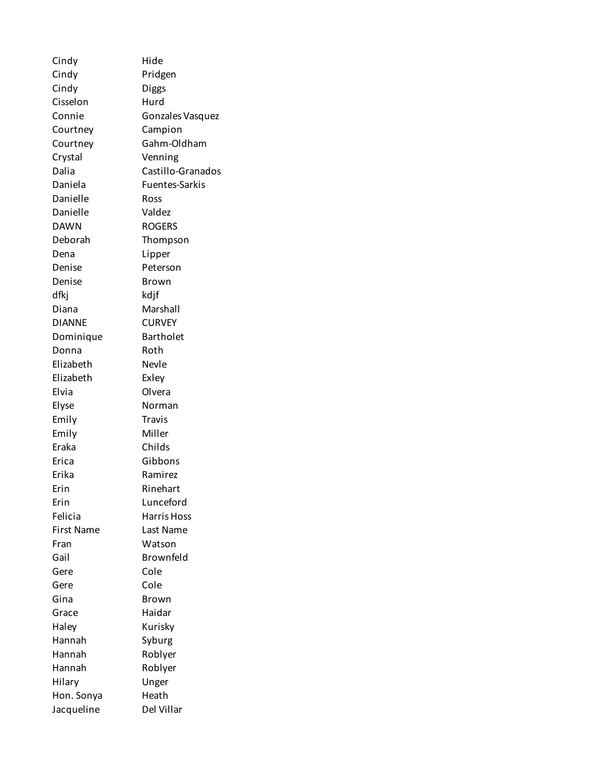Cindy Hide Cindy Pridgen Cindy Diggs Cisselon Hurd Connie Gonzales Vasquez Courtney Campion Courtney Gahm-Oldham Crystal Venning Dalia Castillo-Granados Daniela Fuentes-Sarkis Danielle Ross Danielle Valdez DAWN ROGERS Deborah Thompson Dena Lipper Denise Peterson Denise Brown dfkj kdjf Diana Marshall DIANNE CURVEY Dominique Bartholet Donna Roth Elizabeth Nevle Elizabeth Exley Elvia Olvera Elyse Norman Emily Travis Emily Miller Eraka Childs Erica Gibbons Erika Ramirez Erin Rinehart Erin Lunceford Felicia Harris Hoss First Name Last Name Fran Watson Gail **Brownfeld** Gere Cole Gere Cole Gina Brown Grace Haidar Haley Kurisky Hannah Syburg Hannah Roblyer Hannah Roblyer Hilary Unger Hon. Sonya Heath Jacqueline Del Villar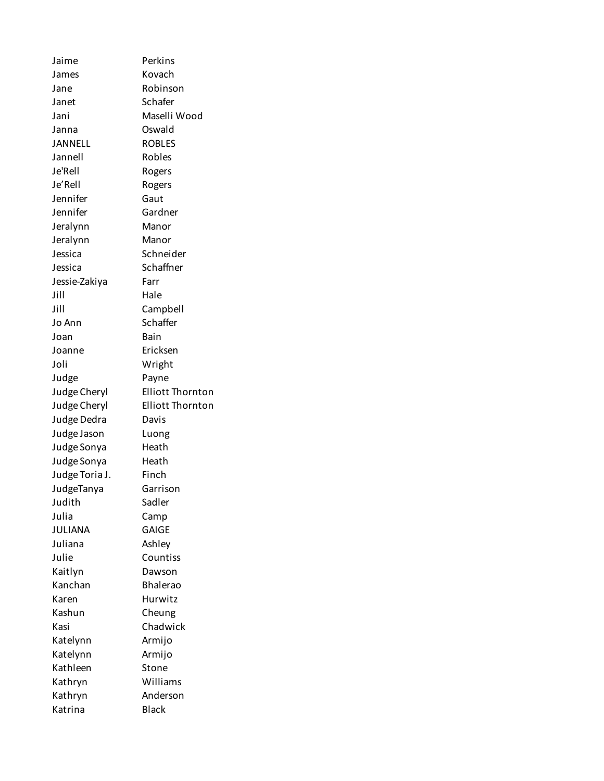Jaime Perkins James Kovach Jane Robinson Janet Schafer Jani Maselli Wood Janna Oswald JANNELL ROBLES Jannell Robles Je'Rell Rogers Je'Rell Rogers Jennifer Gaut Jennifer Gardner Jeralynn Manor Jeralynn Manor Jessica Schneider Jessica Schaffner Jessie-Zakiya Farr Jill Hale Jill Campbell Jo Ann Schaffer Joan Bain Joanne Ericksen Joli Wright Judge Payne Judge Cheryl Elliott Thornton Judge Cheryl Elliott Thornton Judge Dedra Davis Judge Jason Luong Judge Sonya Heath Judge Sonya Heath Judge Toria J. Finch JudgeTanya Garrison Judith Sadler Julia Camp JULIANA GAIGE Juliana Ashley Julie Countiss Kaitlyn Dawson Kanchan Bhalerao Karen Hurwitz Kashun Cheung Kasi Chadwick Katelynn Armijo Katelynn Armijo Kathleen Stone Kathryn Williams Kathryn Anderson Katrina Black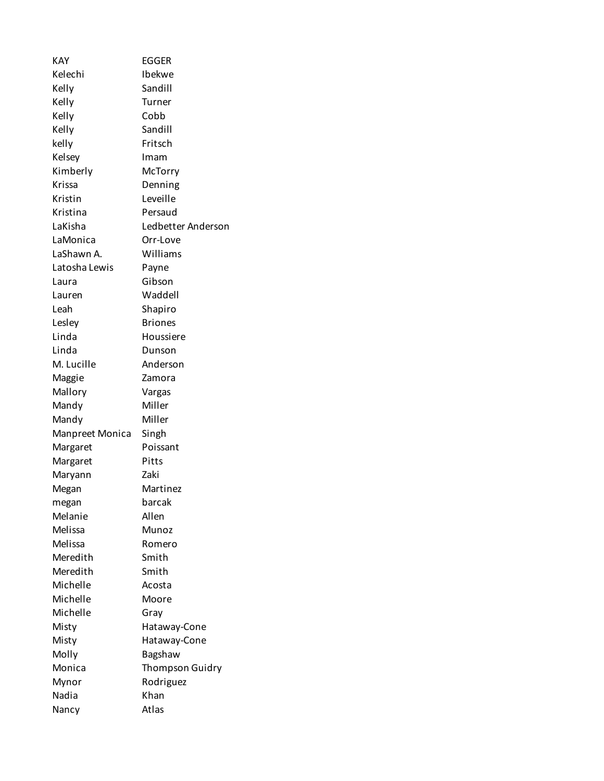| KAY               | <b>EGGER</b>           |  |
|-------------------|------------------------|--|
| Kelechi           | Ibekwe                 |  |
| Kelly             | Sandill                |  |
| Kelly             | Turner                 |  |
| Kelly             | Cobb                   |  |
| Kelly             | Sandill                |  |
| kelly             | Fritsch                |  |
| Kelsey            | Imam                   |  |
| Kimberly          | McTorry                |  |
| Krissa            | Denning                |  |
| Kristin           | Leveille               |  |
| Kristina          | Persaud                |  |
| LaKisha           | Ledbetter Anderson     |  |
| LaMonica          | Orr-Love               |  |
| LaShawn A.        | Williams               |  |
| Latosha Lewis     | Payne                  |  |
| Laura             | Gibson                 |  |
| Lauren            | Waddell                |  |
| Leah              | Shapiro                |  |
| Lesley            | <b>Briones</b>         |  |
| Linda             | Houssiere              |  |
| Linda             | Dunson                 |  |
| M. Lucille        | Anderson               |  |
|                   |                        |  |
| Maggie<br>Mallory | Zamora                 |  |
|                   | Vargas<br>Miller       |  |
| Mandy             | Miller                 |  |
| Mandy             |                        |  |
| Manpreet Monica   | Singh                  |  |
| Margaret          | Poissant<br>Pitts      |  |
| Margaret          | Zaki                   |  |
| Maryann           |                        |  |
| Megan             | Martinez               |  |
| megan             | barcak<br>Allen        |  |
| Melanie           |                        |  |
| Melissa           | Munoz                  |  |
| Melissa           | Romero                 |  |
| Meredith          | Smith                  |  |
| Meredith          | Smith                  |  |
| Michelle          | Acosta                 |  |
| Michelle          | Moore                  |  |
| Michelle          | Gray                   |  |
| Misty             | Hataway-Cone           |  |
| Misty             | Hataway-Cone           |  |
| Molly             | Bagshaw                |  |
| Monica            | <b>Thompson Guidry</b> |  |
| Mynor             | Rodriguez              |  |
| Nadia             | Khan                   |  |
| Nancy             | Atlas                  |  |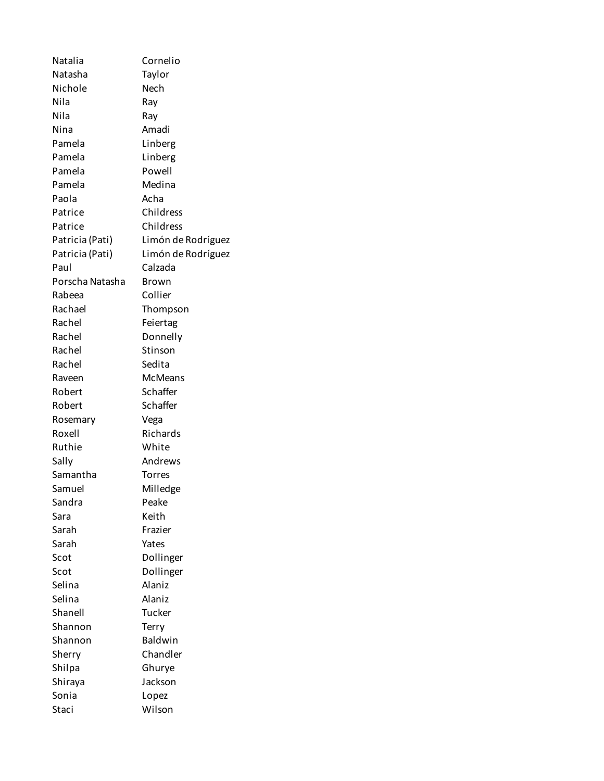| Natalia         | Cornelio            |  |
|-----------------|---------------------|--|
| Natasha         | Taylor              |  |
| Nichole         | Nech                |  |
| Nila            | Ray                 |  |
| Nila            | Ray                 |  |
| Nina            | Amadi               |  |
| Pamela          | Linberg             |  |
| Pamela          | Linberg             |  |
| Pamela          | Powell              |  |
| Pamela          | Medina              |  |
| Paola           | Acha                |  |
| Patrice         | Childress           |  |
| Patrice         | Childress           |  |
| Patricia (Pati) | Limón de Rodríguez  |  |
| Patricia (Pati) | Limón de Rodríguez  |  |
| Paul            | Calzada             |  |
| Porscha Natasha | Brown               |  |
| Rabeea          | Collier             |  |
| Rachael         | Thompson            |  |
| Rachel          | Feiertag            |  |
| Rachel          | Donnelly            |  |
| Rachel          | Stinson             |  |
| Rachel          | Sedita              |  |
| Raveen          | <b>McMeans</b>      |  |
| Robert          | Schaffer            |  |
| Robert          | Schaffer            |  |
| Rosemary        | Vega                |  |
| Roxell          | Richards            |  |
| Ruthie          | White               |  |
| Sally           | Andrews             |  |
| Samantha        | <b>Torres</b>       |  |
| Samuel          |                     |  |
|                 | Milledge            |  |
| Sandra<br>Sara  | Peake               |  |
| Sarah           | Keith               |  |
|                 | Frazier             |  |
| Sarah<br>Scot   | Yates               |  |
| Scot            | Dollinger           |  |
|                 | Dollinger<br>Alaniz |  |
| Selina          |                     |  |
| Selina          | Alaniz              |  |
| Shanell         | Tucker              |  |
| Shannon         | Terry               |  |
| Shannon         | Baldwin             |  |
| Sherry          | Chandler            |  |
| Shilpa          | Ghurye              |  |
| Shiraya         | Jackson             |  |
| Sonia           | Lopez               |  |
| Staci           | Wilson              |  |